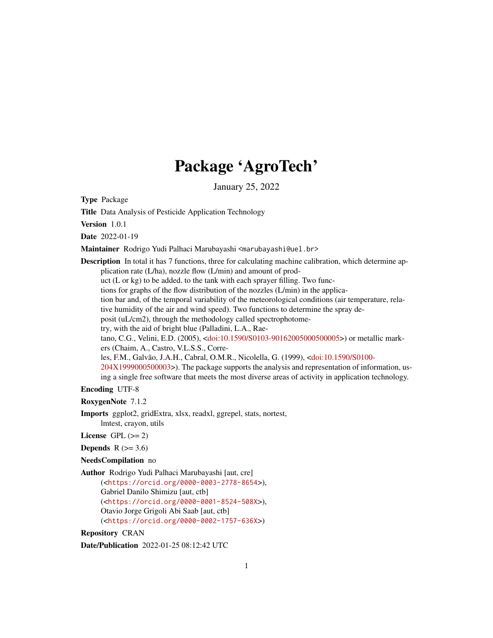## Package 'AgroTech'

January 25, 2022

Type Package

Title Data Analysis of Pesticide Application Technology

Version 1.0.1

Date 2022-01-19

Maintainer Rodrigo Yudi Palhaci Marubayashi <marubayashi@uel.br>

**Description** In total it has 7 functions, three for calculating machine calibration, which determine application rate (L/ha), nozzle flow (L/min) and amount of product (L or kg) to be added. to the tank with each sprayer filling. Two functions for graphs of the flow distribution of the nozzles (L/min) in the application bar and, of the temporal variability of the meteorological conditions (air temperature, relative humidity of the air and wind speed). Two functions to determine the spray deposit (uL/cm2), through the methodology called spectrophotometry, with the aid of bright blue (Palladini, L.A., Raetano, C.G., Velini, E.D. (2005), [<doi:10.1590/S0103-90162005000500005>](https://doi.org/10.1590/S0103-90162005000500005)) or metallic markers (Chaim, A., Castro, V.L.S.S., Correles, F.M., Galvão, J.A.H., Cabral, O.M.R., Nicolella, G. (1999), [<doi:10.1590/S0100-](https://doi.org/10.1590/S0100-204X1999000500003) [204X1999000500003>](https://doi.org/10.1590/S0100-204X1999000500003)). The package supports the analysis and representation of information, using a single free software that meets the most diverse areas of activity in application technology.

Encoding UTF-8

RoxygenNote 7.1.2

Imports ggplot2, gridExtra, xlsx, readxl, ggrepel, stats, nortest, lmtest, crayon, utils

License GPL  $(>= 2)$ 

Depends  $R$  ( $>= 3.6$ )

NeedsCompilation no

Author Rodrigo Yudi Palhaci Marubayashi [aut, cre] (<<https://orcid.org/0000-0003-2778-8654>>), Gabriel Danilo Shimizu [aut, ctb] (<<https://orcid.org/0000-0001-8524-508X>>), Otavio Jorge Grigoli Abi Saab [aut, ctb] (<<https://orcid.org/0000-0002-1757-636X>>)

Repository CRAN

Date/Publication 2022-01-25 08:12:42 UTC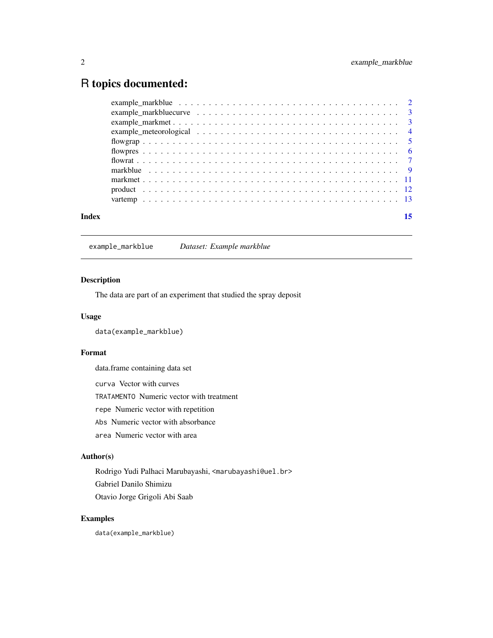## <span id="page-1-0"></span>R topics documented:

| Index |  |
|-------|--|
|       |  |
|       |  |
|       |  |
|       |  |
|       |  |
|       |  |
|       |  |
|       |  |
|       |  |
|       |  |
|       |  |

## example\_markblue *Dataset: Example markblue*

#### Description

The data are part of an experiment that studied the spray deposit

#### Usage

```
data(example_markblue)
```
#### Format

data.frame containing data set

curva Vector with curves

TRATAMENTO Numeric vector with treatment

repe Numeric vector with repetition

Abs Numeric vector with absorbance

area Numeric vector with area

#### Author(s)

Rodrigo Yudi Palhaci Marubayashi, <marubayashi@uel.br> Gabriel Danilo Shimizu

Otavio Jorge Grigoli Abi Saab

## Examples

data(example\_markblue)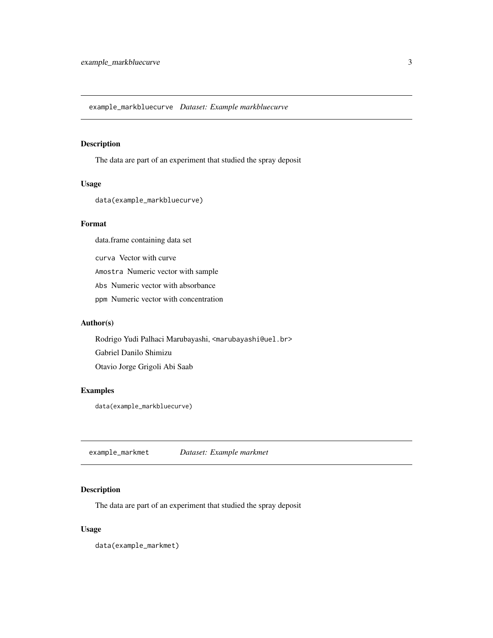<span id="page-2-0"></span>example\_markbluecurve *Dataset: Example markbluecurve*

### Description

The data are part of an experiment that studied the spray deposit

#### Usage

data(example\_markbluecurve)

## Format

data.frame containing data set

curva Vector with curve Amostra Numeric vector with sample Abs Numeric vector with absorbance ppm Numeric vector with concentration

#### Author(s)

Rodrigo Yudi Palhaci Marubayashi, <marubayashi@uel.br> Gabriel Danilo Shimizu Otavio Jorge Grigoli Abi Saab

## Examples

data(example\_markbluecurve)

example\_markmet *Dataset: Example markmet*

## Description

The data are part of an experiment that studied the spray deposit

#### Usage

data(example\_markmet)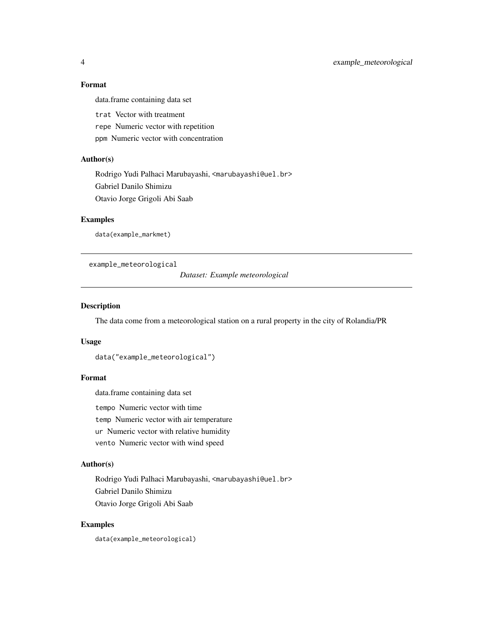## Format

data.frame containing data set

trat Vector with treatment

repe Numeric vector with repetition

ppm Numeric vector with concentration

## Author(s)

Rodrigo Yudi Palhaci Marubayashi, <marubayashi@uel.br> Gabriel Danilo Shimizu Otavio Jorge Grigoli Abi Saab

#### Examples

data(example\_markmet)

example\_meteorological

*Dataset: Example meteorological*

## Description

The data come from a meteorological station on a rural property in the city of Rolandia/PR

#### Usage

```
data("example_meteorological")
```
## Format

data.frame containing data set

tempo Numeric vector with time

temp Numeric vector with air temperature

ur Numeric vector with relative humidity

vento Numeric vector with wind speed

#### Author(s)

Rodrigo Yudi Palhaci Marubayashi, <marubayashi@uel.br> Gabriel Danilo Shimizu Otavio Jorge Grigoli Abi Saab

#### Examples

data(example\_meteorological)

<span id="page-3-0"></span>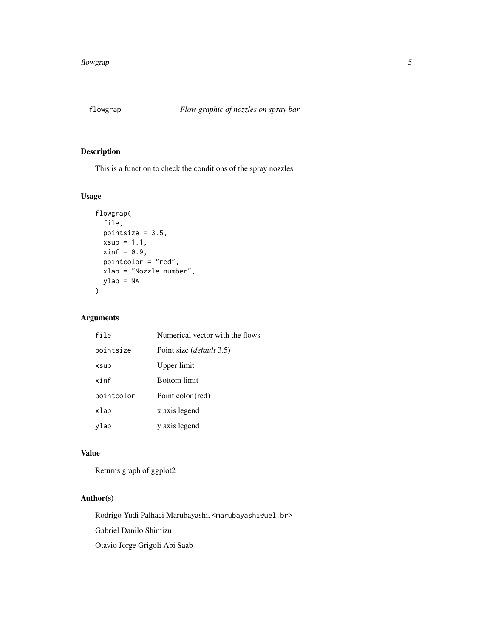<span id="page-4-0"></span>

## Description

This is a function to check the conditions of the spray nozzles

#### Usage

```
flowgrap(
  file,
 pointsize = 3.5,
 xsup = 1.1,
 xinf = 0.9,
 pointcolor = "red",
 xlab = "Nozzle number",
 ylab = NA
)
```
## Arguments

| file       | Numerical vector with the flows  |
|------------|----------------------------------|
| pointsize  | Point size ( <i>default</i> 3.5) |
| xsup       | Upper limit                      |
| xinf       | <b>Bottom</b> limit              |
| pointcolor | Point color (red)                |
| xlab       | x axis legend                    |
| ylab       | y axis legend                    |

#### Value

Returns graph of ggplot2

## Author(s)

Rodrigo Yudi Palhaci Marubayashi, <marubayashi@uel.br> Gabriel Danilo Shimizu

Otavio Jorge Grigoli Abi Saab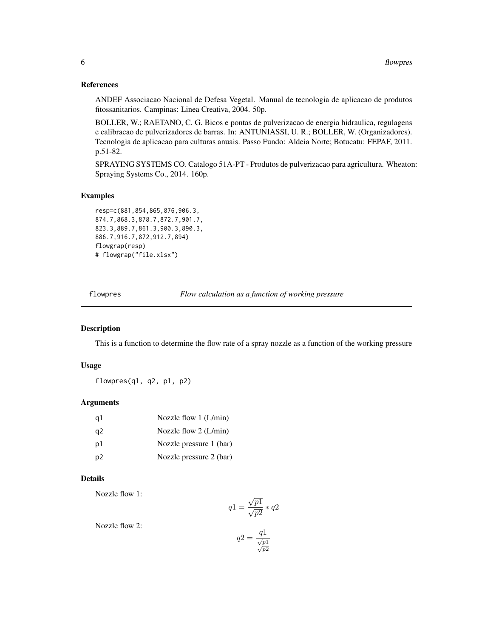#### <span id="page-5-0"></span>References

ANDEF Associacao Nacional de Defesa Vegetal. Manual de tecnologia de aplicacao de produtos fitossanitarios. Campinas: Linea Creativa, 2004. 50p.

BOLLER, W.; RAETANO, C. G. Bicos e pontas de pulverizacao de energia hidraulica, regulagens e calibracao de pulverizadores de barras. In: ANTUNIASSI, U. R.; BOLLER, W. (Organizadores). Tecnologia de aplicacao para culturas anuais. Passo Fundo: Aldeia Norte; Botucatu: FEPAF, 2011. p.51-82.

SPRAYING SYSTEMS CO. Catalogo 51A-PT - Produtos de pulverizacao para agricultura. Wheaton: Spraying Systems Co., 2014. 160p.

#### Examples

```
resp=c(881,854,865,876,906.3,
874.7,868.3,878.7,872.7,901.7,
823.3,889.7,861.3,900.3,890.3,
886.7,916.7,872,912.7,894)
flowgrap(resp)
# flowgrap("file.xlsx")
```
<span id="page-5-1"></span>flowpres *Flow calculation as a function of working pressure*

## Description

This is a function to determine the flow rate of a spray nozzle as a function of the working pressure

#### Usage

flowpres(q1, q2, p1, p2)

#### Arguments

| -a1 | Nozzle flow $1$ (L/min) |
|-----|-------------------------|
| q2  | Nozzle flow $2(L/min)$  |
| p1  | Nozzle pressure 1 (bar) |
| p2  | Nozzle pressure 2 (bar) |

## Details

Nozzle flow 1:

$$
q1 = \frac{\sqrt{p1}}{\sqrt{p2}} * q2
$$

Nozzle flow 2:

$$
q2 = \frac{q1}{\frac{\sqrt{p1}}{\sqrt{p2}}}
$$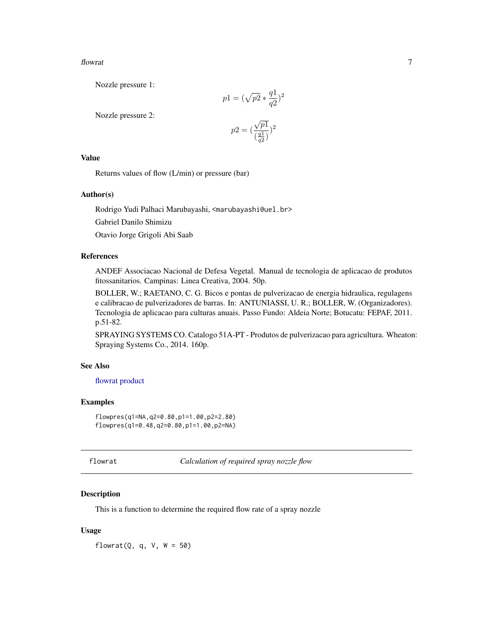#### <span id="page-6-0"></span>flowrat 7 and 7 and 7 and 7 and 7 and 7 and 7 and 7 and 7 and 7 and 7 and 7 and 7 and 7 and 7 and 7 and 7 and 7 and 7 and 7 and 7 and 7 and 7 and 7 and 7 and 7 and 7 and 7 and 7 and 7 and 7 and 7 and 7 and 7 and 7 and 7 an

Nozzle pressure 1:

$$
p1=(\sqrt{p2}*\frac{q1}{q2})^2
$$

Nozzle pressure 2:

$$
p2 = \big(\frac{\sqrt{p1}}{\left(\frac{q1}{q2}\right)}\big)^2
$$

## Value

Returns values of flow (L/min) or pressure (bar)

## Author(s)

Rodrigo Yudi Palhaci Marubayashi, <marubayashi@uel.br>

Gabriel Danilo Shimizu

Otavio Jorge Grigoli Abi Saab

#### References

ANDEF Associacao Nacional de Defesa Vegetal. Manual de tecnologia de aplicacao de produtos fitossanitarios. Campinas: Linea Creativa, 2004. 50p.

BOLLER, W.; RAETANO, C. G. Bicos e pontas de pulverizacao de energia hidraulica, regulagens e calibracao de pulverizadores de barras. In: ANTUNIASSI, U. R.; BOLLER, W. (Organizadores). Tecnologia de aplicacao para culturas anuais. Passo Fundo: Aldeia Norte; Botucatu: FEPAF, 2011. p.51-82.

SPRAYING SYSTEMS CO. Catalogo 51A-PT - Produtos de pulverizacao para agricultura. Wheaton: Spraying Systems Co., 2014. 160p.

## See Also

## [flowrat](#page-6-1) [product](#page-11-1)

## Examples

flowpres(q1=NA,q2=0.80,p1=1.00,p2=2.80) flowpres(q1=0.48,q2=0.80,p1=1.00,p2=NA)

<span id="page-6-1"></span>

flowrat *Calculation of required spray nozzle flow*

## Description

This is a function to determine the required flow rate of a spray nozzle

#### Usage

flowrat( $Q$ ,  $q$ ,  $V$ ,  $W = 50$ )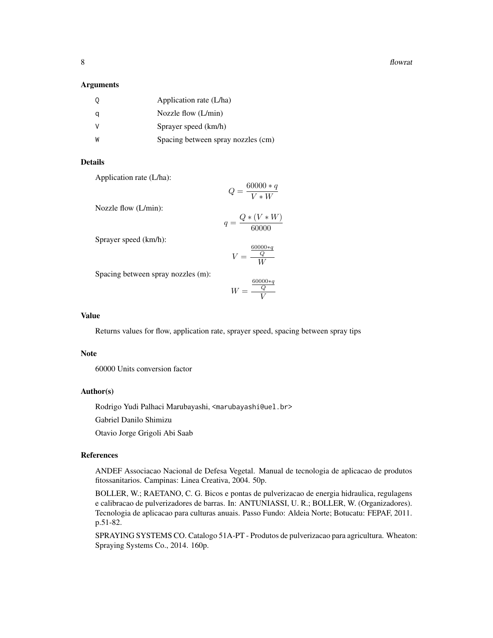8 flowrat the state of the state of the state of the state of the state of the state of the state of the state of the state of the state of the state of the state of the state of the state of the state of the state of the

#### **Arguments**

|   | Application rate (L/ha)            |
|---|------------------------------------|
|   | Nozzle flow $(L/min)$              |
|   | Sprayer speed (km/h)               |
| W | Spacing between spray nozzles (cm) |

#### Details

Application rate (L/ha):

$$
Q = \frac{60000 \cdot q}{V \cdot W}
$$

Nozzle flow (L/min):

$$
q = \frac{Q*(V*W)}{60000}
$$

Sprayer speed (km/h):

$$
V = \frac{\frac{60000 \ast q}{Q}}{W}
$$

Spacing between spray nozzles (m):

$$
W = \frac{\frac{60000 \ast q}{Q}}{V}
$$

#### Value

Returns values for flow, application rate, sprayer speed, spacing between spray tips

#### Note

60000 Units conversion factor

#### Author(s)

Rodrigo Yudi Palhaci Marubayashi, <marubayashi@uel.br>

Gabriel Danilo Shimizu

Otavio Jorge Grigoli Abi Saab

#### References

ANDEF Associacao Nacional de Defesa Vegetal. Manual de tecnologia de aplicacao de produtos fitossanitarios. Campinas: Linea Creativa, 2004. 50p.

BOLLER, W.; RAETANO, C. G. Bicos e pontas de pulverizacao de energia hidraulica, regulagens e calibracao de pulverizadores de barras. In: ANTUNIASSI, U. R.; BOLLER, W. (Organizadores). Tecnologia de aplicacao para culturas anuais. Passo Fundo: Aldeia Norte; Botucatu: FEPAF, 2011. p.51-82.

SPRAYING SYSTEMS CO. Catalogo 51A-PT - Produtos de pulverizacao para agricultura. Wheaton: Spraying Systems Co., 2014. 160p.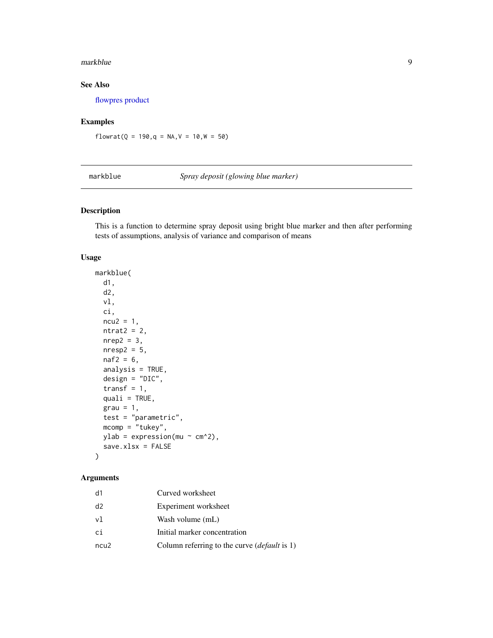#### <span id="page-8-0"></span>markblue 90 and 1992 and 1993 and 1993 and 1993 and 1993 and 1993 and 1993 and 1993 and 1993 and 1993 and 1993

## See Also

[flowpres](#page-5-1) [product](#page-11-1)

## Examples

flowrat( $Q = 190, q = NA, V = 10, W = 50$ )

<span id="page-8-1"></span>markblue *Spray deposit (glowing blue marker)*

## Description

This is a function to determine spray deposit using bright blue marker and then after performing tests of assumptions, analysis of variance and comparison of means

#### Usage

markblue( d1, d2, vl, ci,  $ncu2 = 1$ ,  $n$ trat $2 = 2$ ,  $nrep2 = 3$ ,  $n$ resp2 = 5,  $naf2 = 6$ , analysis =  $TRUE$ , design = "DIC", transf =  $1$ , quali = TRUE,  $grav = 1,$ test = "parametric",  $mcomp = "tukey",$ ylab = expression(mu  $\sim$  cm^2), save.xlsx = FALSE )

## Arguments

| d1   | Curved worksheet                                    |
|------|-----------------------------------------------------|
| d2   | Experiment worksheet                                |
| vl   | Wash volume (mL)                                    |
| сi   | Initial marker concentration                        |
| ncu2 | Column referring to the curve <i>(default</i> is 1) |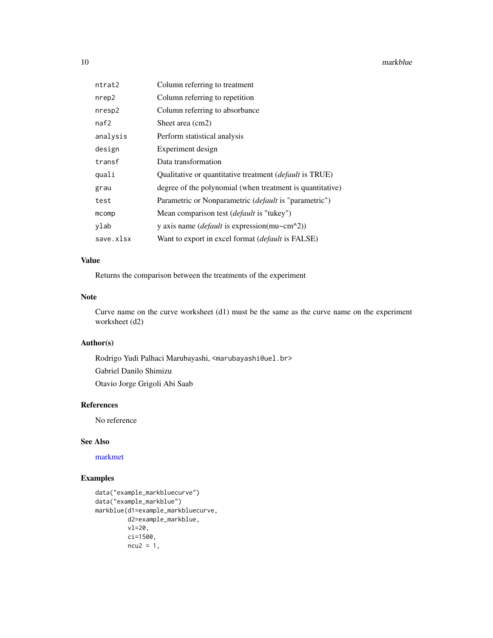<span id="page-9-0"></span>10 markblue

| ntrat2    | Column referring to treatment                                   |
|-----------|-----------------------------------------------------------------|
| nrep2     | Column referring to repetition                                  |
| nresp2    | Column referring to absorbance                                  |
| naf2      | Sheet area (cm2)                                                |
| analysis  | Perform statistical analysis                                    |
| design    | Experiment design                                               |
| transf    | Data transformation                                             |
| quali     | Qualitative or quantitative treatment ( <i>default</i> is TRUE) |
| grau      | degree of the polynomial (when treatment is quantitative)       |
| test      | Parametric or Nonparametric ( <i>default</i> is "parametric")   |
| mcomp     | Mean comparison test <i>(default</i> is "tukey")                |
| ylab      | y axis name ( <i>default</i> is expression(mu~cm^2))            |
| save.xlsx | Want to export in excel format <i>(default</i> is FALSE)        |

#### Value

Returns the comparison between the treatments of the experiment

## Note

Curve name on the curve worksheet (d1) must be the same as the curve name on the experiment worksheet (d2)

## Author(s)

Rodrigo Yudi Palhaci Marubayashi, <marubayashi@uel.br> Gabriel Danilo Shimizu Otavio Jorge Grigoli Abi Saab

#### References

No reference

## See Also

[markmet](#page-10-1)

## Examples

```
data("example_markbluecurve")
data("example_markblue")
markblue(d1=example_markbluecurve,
         d2=example_markblue,
         vl=20,
         ci=1500,
         ncu2 = 1,
```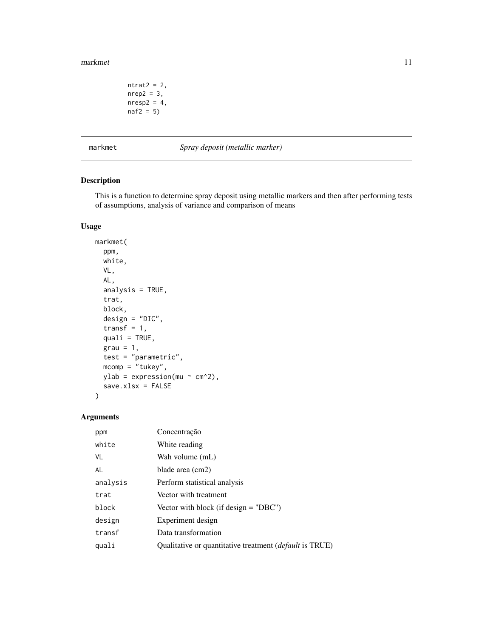#### <span id="page-10-0"></span>markmet the contract of the contract of the contract of the contract of the contract of the contract of the contract of the contract of the contract of the contract of the contract of the contract of the contract of the co

```
ntrat2 = 2,
nrep2 = 3,
nresp2 = 4,
naf2 = 5)
```
<span id="page-10-1"></span>markmet *Spray deposit (metallic marker)*

## Description

This is a function to determine spray deposit using metallic markers and then after performing tests of assumptions, analysis of variance and comparison of means

## Usage

```
markmet(
 ppm,
 white,
 VL,
  AL,
  analysis = TRUE,
  trat,
 block,
  design = "DIC",
  transf = 1,
  quali = TRUE,
 grav = 1,test = "parametric",
 mcomp = "tukey",ylab = expression(mu \sim cm^2),
  save.xlsx = FALSE
)
```
## Arguments

| ppm      | Concentração                                                   |
|----------|----------------------------------------------------------------|
| white    | White reading                                                  |
| VL       | Wah volume (mL)                                                |
| AL       | blade area (cm2)                                               |
| analysis | Perform statistical analysis                                   |
| trat     | Vector with treatment                                          |
| block    | Vector with block (if design $=$ "DBC")                        |
| design   | Experiment design                                              |
| transf   | Data transformation                                            |
| quali    | Qualitative or quantitative treatment <i>(default</i> is TRUE) |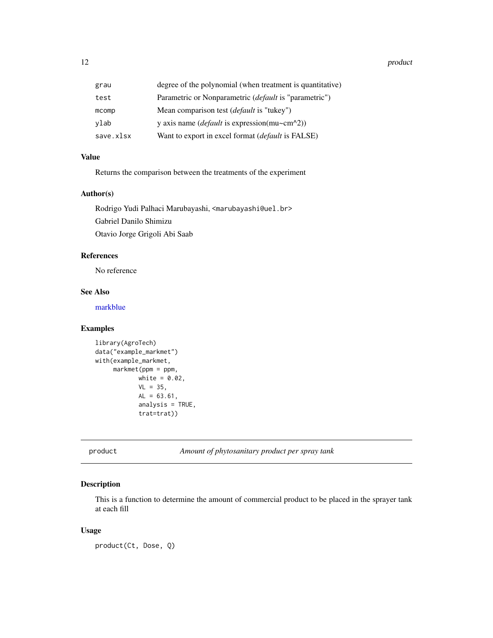<span id="page-11-0"></span>12 product the product of the set of the product of the product of the product of the product of the product of the product of the product of the product of the product of the product of the product of the product of the p

| grau      | degree of the polynomial (when treatment is quantitative)    |
|-----------|--------------------------------------------------------------|
| test      | Parametric or Nonparametric <i>(default is "parametric")</i> |
| mcomp     | Mean comparison test ( <i>default</i> is "tukey")            |
| vlab      | y axis name ( <i>default</i> is expression(mu~cm^2))         |
| save.xlsx | Want to export in excel format <i>(default</i> is FALSE)     |
|           |                                                              |

## Value

Returns the comparison between the treatments of the experiment

#### Author(s)

Rodrigo Yudi Palhaci Marubayashi, <marubayashi@uel.br> Gabriel Danilo Shimizu Otavio Jorge Grigoli Abi Saab

#### References

No reference

## See Also

[markblue](#page-8-1)

## Examples

```
library(AgroTech)
data("example_markmet")
with(example_markmet,
     markmet(ppm = ppm,
            white = 0.02,
            VL = 35,
            AL = 63.61,
            analysis = TRUE,
            trat=trat))
```
<span id="page-11-1"></span>product *Amount of phytosanitary product per spray tank*

#### Description

This is a function to determine the amount of commercial product to be placed in the sprayer tank at each fill

## Usage

product(Ct, Dose, Q)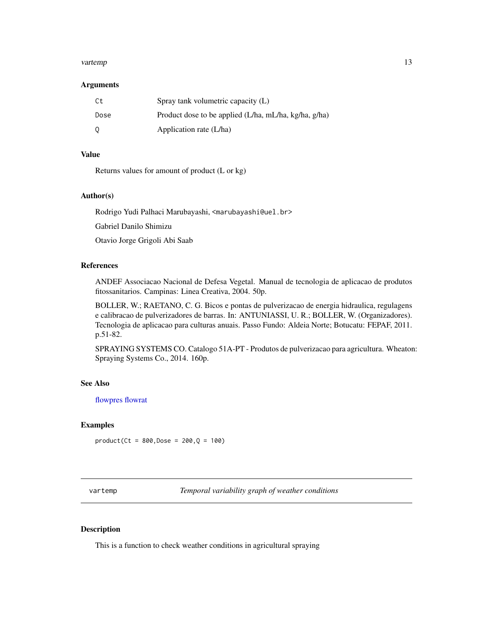#### <span id="page-12-0"></span>vartemp and the state of the state of the state of the state of the state of the state of the state of the state of the state of the state of the state of the state of the state of the state of the state of the state of th

#### **Arguments**

| Ct.  | Spray tank volumetric capacity $(L)$                  |
|------|-------------------------------------------------------|
| Dose | Product dose to be applied (L/ha, mL/ha, kg/ha, g/ha) |
| - 0  | Application rate (L/ha)                               |

## Value

Returns values for amount of product (L or kg)

#### Author(s)

Rodrigo Yudi Palhaci Marubayashi, <marubayashi@uel.br>

Gabriel Danilo Shimizu

Otavio Jorge Grigoli Abi Saab

#### References

ANDEF Associacao Nacional de Defesa Vegetal. Manual de tecnologia de aplicacao de produtos fitossanitarios. Campinas: Linea Creativa, 2004. 50p.

BOLLER, W.; RAETANO, C. G. Bicos e pontas de pulverizacao de energia hidraulica, regulagens e calibracao de pulverizadores de barras. In: ANTUNIASSI, U. R.; BOLLER, W. (Organizadores). Tecnologia de aplicacao para culturas anuais. Passo Fundo: Aldeia Norte; Botucatu: FEPAF, 2011. p.51-82.

SPRAYING SYSTEMS CO. Catalogo 51A-PT - Produtos de pulverizacao para agricultura. Wheaton: Spraying Systems Co., 2014. 160p.

#### See Also

[flowpres](#page-5-1) [flowrat](#page-6-1)

## Examples

 $product(Ct = 800, Bose = 200,Q = 100)$ 

vartemp *Temporal variability graph of weather conditions*

#### Description

This is a function to check weather conditions in agricultural spraying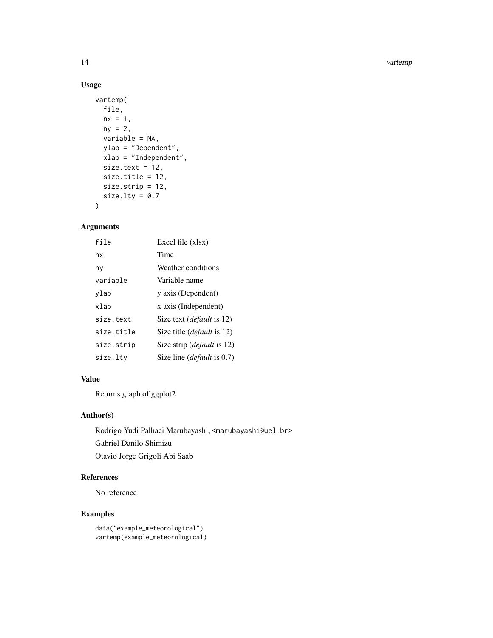#### 14 vartempo and the set of the set of the set of the set of the set of the set of the set of the set of the set of the set of the set of the set of the set of the set of the set of the set of the set of the set of the set

## Usage

```
vartemp(
  file,
  nx = 1,ny = 2,variable = NA,
  ylab = "Dependent",
  xlab = "Independent",
  size.text = 12,
  size.title = 12,
  size.strip = 12,
  size.lty = 0.7\mathcal{L}
```
## Arguments

| file       | Excel file (xlsx)                  |
|------------|------------------------------------|
| nx         | Time                               |
| ny         | Weather conditions                 |
| variable   | Variable name                      |
| ylab       | y axis (Dependent)                 |
| xlab       | x axis (Independent)               |
| size.text  | Size text <i>(default</i> is 12)   |
| size.title | Size title <i>(default</i> is 12)  |
| size.strip | Size strip ( <i>default</i> is 12) |
| size.ltv   | Size line <i>(default</i> is 0.7)  |

#### Value

Returns graph of ggplot2

## Author(s)

Rodrigo Yudi Palhaci Marubayashi, <marubayashi@uel.br> Gabriel Danilo Shimizu Otavio Jorge Grigoli Abi Saab

## References

No reference

## Examples

```
data("example_meteorological")
vartemp(example_meteorological)
```